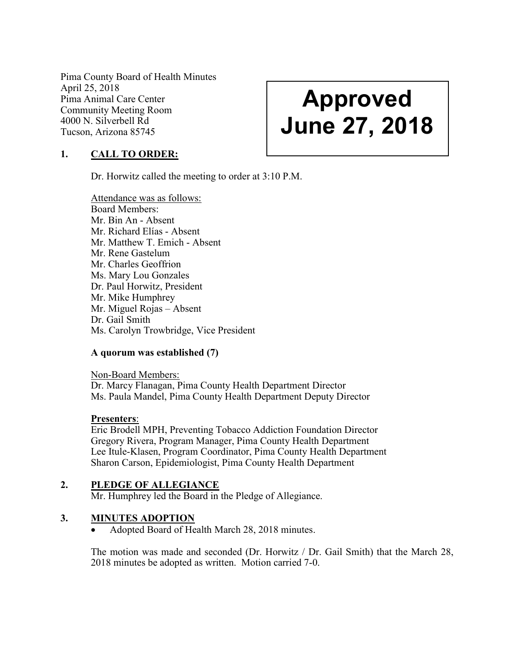Pima County Board of Health Minutes April 25, 2018 Pima Animal Care Center Community Meeting Room 4000 N. Silverbell Rd Tucson, Arizona 85745

# Approved June 27, 2018

# 1. CALL TO ORDER:

Dr. Horwitz called the meeting to order at 3:10 P.M.

Attendance was as follows: Board Members: Mr. Bin An - Absent Mr. Richard Elías - Absent Mr. Matthew T. Emich - Absent Mr. Rene Gastelum Mr. Charles Geoffrion Ms. Mary Lou Gonzales Dr. Paul Horwitz, President Mr. Mike Humphrey Mr. Miguel Rojas – Absent Dr. Gail Smith Ms. Carolyn Trowbridge, Vice President

### A quorum was established (7)

Non-Board Members: Dr. Marcy Flanagan, Pima County Health Department Director Ms. Paula Mandel, Pima County Health Department Deputy Director

### Presenters:

Eric Brodell MPH, Preventing Tobacco Addiction Foundation Director Gregory Rivera, Program Manager, Pima County Health Department Lee Itule-Klasen, Program Coordinator, Pima County Health Department Sharon Carson, Epidemiologist, Pima County Health Department

### 2. PLEDGE OF ALLEGIANCE

Mr. Humphrey led the Board in the Pledge of Allegiance.

### 3. MINUTES ADOPTION

Adopted Board of Health March 28, 2018 minutes.

The motion was made and seconded (Dr. Horwitz / Dr. Gail Smith) that the March 28, 2018 minutes be adopted as written. Motion carried 7-0.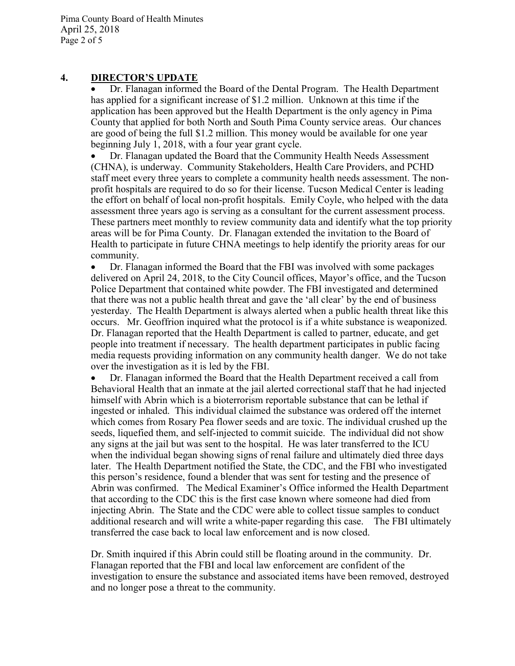### 4. DIRECTOR'S UPDATE

 Dr. Flanagan informed the Board of the Dental Program. The Health Department has applied for a significant increase of \$1.2 million. Unknown at this time if the application has been approved but the Health Department is the only agency in Pima County that applied for both North and South Pima County service areas. Our chances are good of being the full \$1.2 million. This money would be available for one year beginning July 1, 2018, with a four year grant cycle.

 Dr. Flanagan updated the Board that the Community Health Needs Assessment (CHNA), is underway. Community Stakeholders, Health Care Providers, and PCHD staff meet every three years to complete a community health needs assessment. The nonprofit hospitals are required to do so for their license. Tucson Medical Center is leading the effort on behalf of local non-profit hospitals. Emily Coyle, who helped with the data assessment three years ago is serving as a consultant for the current assessment process. These partners meet monthly to review community data and identify what the top priority areas will be for Pima County. Dr. Flanagan extended the invitation to the Board of Health to participate in future CHNA meetings to help identify the priority areas for our community.

 Dr. Flanagan informed the Board that the FBI was involved with some packages delivered on April 24, 2018, to the City Council offices, Mayor's office, and the Tucson Police Department that contained white powder. The FBI investigated and determined that there was not a public health threat and gave the 'all clear' by the end of business yesterday. The Health Department is always alerted when a public health threat like this occurs. Mr. Geoffrion inquired what the protocol is if a white substance is weaponized. Dr. Flanagan reported that the Health Department is called to partner, educate, and get people into treatment if necessary. The health department participates in public facing media requests providing information on any community health danger. We do not take over the investigation as it is led by the FBI.

 Dr. Flanagan informed the Board that the Health Department received a call from Behavioral Health that an inmate at the jail alerted correctional staff that he had injected himself with Abrin which is a bioterrorism reportable substance that can be lethal if ingested or inhaled. This individual claimed the substance was ordered off the internet which comes from Rosary Pea flower seeds and are toxic. The individual crushed up the seeds, liquefied them, and self-injected to commit suicide. The individual did not show any signs at the jail but was sent to the hospital. He was later transferred to the ICU when the individual began showing signs of renal failure and ultimately died three days later. The Health Department notified the State, the CDC, and the FBI who investigated this person's residence, found a blender that was sent for testing and the presence of Abrin was confirmed. The Medical Examiner's Office informed the Health Department that according to the CDC this is the first case known where someone had died from injecting Abrin. The State and the CDC were able to collect tissue samples to conduct additional research and will write a white-paper regarding this case. The FBI ultimately transferred the case back to local law enforcement and is now closed.

Dr. Smith inquired if this Abrin could still be floating around in the community. Dr. Flanagan reported that the FBI and local law enforcement are confident of the investigation to ensure the substance and associated items have been removed, destroyed and no longer pose a threat to the community.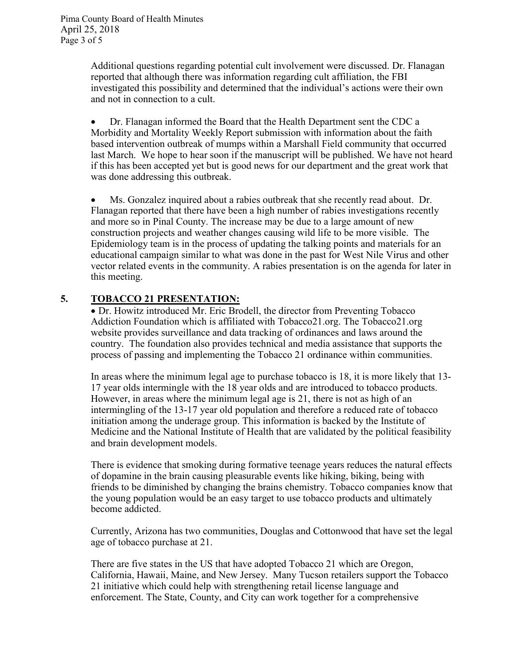Additional questions regarding potential cult involvement were discussed. Dr. Flanagan reported that although there was information regarding cult affiliation, the FBI investigated this possibility and determined that the individual's actions were their own and not in connection to a cult.

 Dr. Flanagan informed the Board that the Health Department sent the CDC a Morbidity and Mortality Weekly Report submission with information about the faith based intervention outbreak of mumps within a Marshall Field community that occurred last March. We hope to hear soon if the manuscript will be published. We have not heard if this has been accepted yet but is good news for our department and the great work that was done addressing this outbreak.

 Ms. Gonzalez inquired about a rabies outbreak that she recently read about. Dr. Flanagan reported that there have been a high number of rabies investigations recently and more so in Pinal County. The increase may be due to a large amount of new construction projects and weather changes causing wild life to be more visible. The Epidemiology team is in the process of updating the talking points and materials for an educational campaign similar to what was done in the past for West Nile Virus and other vector related events in the community. A rabies presentation is on the agenda for later in this meeting.

# 5. TOBACCO 21 PRESENTATION:

 Dr. Howitz introduced Mr. Eric Brodell, the director from Preventing Tobacco Addiction Foundation which is affiliated with Tobacco21.org. The Tobacco21.org website provides surveillance and data tracking of ordinances and laws around the country. The foundation also provides technical and media assistance that supports the process of passing and implementing the Tobacco 21 ordinance within communities.

In areas where the minimum legal age to purchase tobacco is 18, it is more likely that 13- 17 year olds intermingle with the 18 year olds and are introduced to tobacco products. However, in areas where the minimum legal age is 21, there is not as high of an intermingling of the 13-17 year old population and therefore a reduced rate of tobacco initiation among the underage group. This information is backed by the Institute of Medicine and the National Institute of Health that are validated by the political feasibility and brain development models.

There is evidence that smoking during formative teenage years reduces the natural effects of dopamine in the brain causing pleasurable events like hiking, biking, being with friends to be diminished by changing the brains chemistry. Tobacco companies know that the young population would be an easy target to use tobacco products and ultimately become addicted.

Currently, Arizona has two communities, Douglas and Cottonwood that have set the legal age of tobacco purchase at 21.

There are five states in the US that have adopted Tobacco 21 which are Oregon, California, Hawaii, Maine, and New Jersey. Many Tucson retailers support the Tobacco 21 initiative which could help with strengthening retail license language and enforcement. The State, County, and City can work together for a comprehensive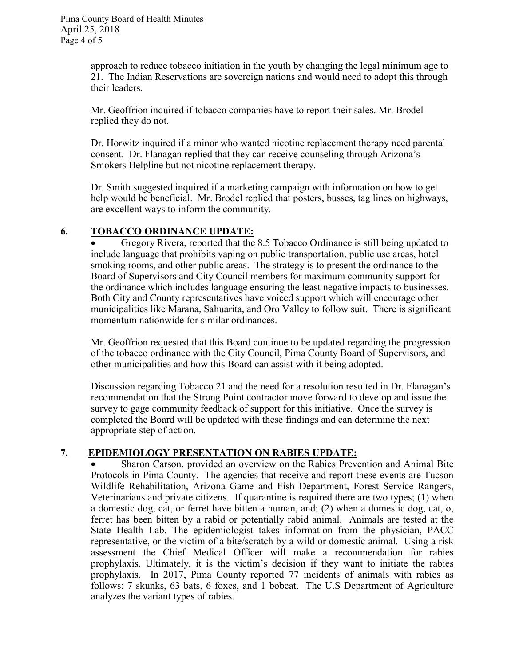approach to reduce tobacco initiation in the youth by changing the legal minimum age to 21. The Indian Reservations are sovereign nations and would need to adopt this through their leaders.

Mr. Geoffrion inquired if tobacco companies have to report their sales. Mr. Brodel replied they do not.

Dr. Horwitz inquired if a minor who wanted nicotine replacement therapy need parental consent. Dr. Flanagan replied that they can receive counseling through Arizona's Smokers Helpline but not nicotine replacement therapy.

Dr. Smith suggested inquired if a marketing campaign with information on how to get help would be beneficial. Mr. Brodel replied that posters, busses, tag lines on highways, are excellent ways to inform the community.

# 6. TOBACCO ORDINANCE UPDATE:

 Gregory Rivera, reported that the 8.5 Tobacco Ordinance is still being updated to include language that prohibits vaping on public transportation, public use areas, hotel smoking rooms, and other public areas. The strategy is to present the ordinance to the Board of Supervisors and City Council members for maximum community support for the ordinance which includes language ensuring the least negative impacts to businesses. Both City and County representatives have voiced support which will encourage other municipalities like Marana, Sahuarita, and Oro Valley to follow suit. There is significant momentum nationwide for similar ordinances.

Mr. Geoffrion requested that this Board continue to be updated regarding the progression of the tobacco ordinance with the City Council, Pima County Board of Supervisors, and other municipalities and how this Board can assist with it being adopted.

Discussion regarding Tobacco 21 and the need for a resolution resulted in Dr. Flanagan's recommendation that the Strong Point contractor move forward to develop and issue the survey to gage community feedback of support for this initiative. Once the survey is completed the Board will be updated with these findings and can determine the next appropriate step of action.

# 7. EPIDEMIOLOGY PRESENTATION ON RABIES UPDATE:

 Sharon Carson, provided an overview on the Rabies Prevention and Animal Bite Protocols in Pima County. The agencies that receive and report these events are Tucson Wildlife Rehabilitation, Arizona Game and Fish Department, Forest Service Rangers, Veterinarians and private citizens. If quarantine is required there are two types; (1) when a domestic dog, cat, or ferret have bitten a human, and; (2) when a domestic dog, cat, o, ferret has been bitten by a rabid or potentially rabid animal. Animals are tested at the State Health Lab. The epidemiologist takes information from the physician, PACC representative, or the victim of a bite/scratch by a wild or domestic animal. Using a risk assessment the Chief Medical Officer will make a recommendation for rabies prophylaxis. Ultimately, it is the victim's decision if they want to initiate the rabies prophylaxis. In 2017, Pima County reported 77 incidents of animals with rabies as follows: 7 skunks, 63 bats, 6 foxes, and 1 bobcat. The U.S Department of Agriculture analyzes the variant types of rabies.